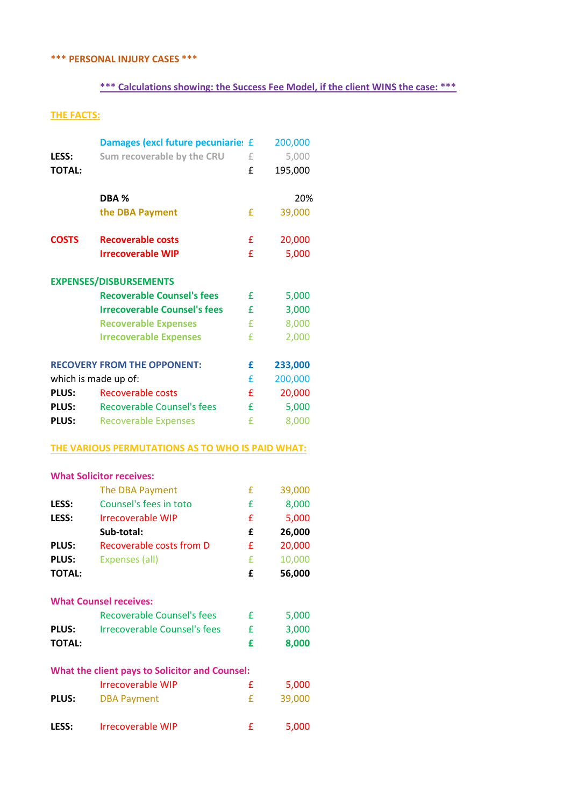### **\*\*\* PERSONAL INJURY CASES \*\*\***

# **\*\*\* Calculations showing: the Success Fee Model, if the client WINS the case: \*\*\***

### **THE FACTS:**

| Sum recoverable by the CRU<br>LESS:<br>£<br><b>TOTAL:</b><br>£<br>195,000<br>DBA %<br>£<br>the DBA Payment<br><b>COSTS</b><br><b>Recoverable costs</b><br>£<br><b>Irrecoverable WIP</b><br>£<br><b>EXPENSES/DISBURSEMENTS</b><br><b>Recoverable Counsel's fees</b><br>£<br><b>Irrecoverable Counsel's fees</b><br>£<br>£<br><b>Recoverable Expenses</b><br><b>Irrecoverable Expenses</b><br>£<br><b>RECOVERY FROM THE OPPONENT:</b><br>233,000<br>£<br>200,000<br>which is made up of:<br>£<br><b>PLUS:</b><br><b>Recoverable costs</b><br>£<br><b>Recoverable Counsel's fees</b><br>£<br><b>PLUS:</b><br>£<br><b>PLUS:</b><br><b>Recoverable Expenses</b><br>THE VARIOUS PERMUTATIONS AS TO WHO IS PAID WHAT:<br><b>What Solicitor receives:</b><br>The DBA Payment<br>£<br>Counsel's fees in toto<br>£<br>LESS:<br><b>Irrecoverable WIP</b><br>LESS:<br>£<br>Sub-total:<br>£<br><b>Recoverable costs from D</b><br>£<br><b>PLUS:</b><br>£<br><b>PLUS:</b><br><b>Expenses (all)</b><br><b>TOTAL:</b><br>£ | 5,000<br>20%<br>39,000<br>20,000<br>5,000<br>5,000<br>3,000<br>8,000<br>2,000<br>20,000<br>5,000<br>8,000 |
|------------------------------------------------------------------------------------------------------------------------------------------------------------------------------------------------------------------------------------------------------------------------------------------------------------------------------------------------------------------------------------------------------------------------------------------------------------------------------------------------------------------------------------------------------------------------------------------------------------------------------------------------------------------------------------------------------------------------------------------------------------------------------------------------------------------------------------------------------------------------------------------------------------------------------------------------------------------------------------------------------------|-----------------------------------------------------------------------------------------------------------|
|                                                                                                                                                                                                                                                                                                                                                                                                                                                                                                                                                                                                                                                                                                                                                                                                                                                                                                                                                                                                            |                                                                                                           |
|                                                                                                                                                                                                                                                                                                                                                                                                                                                                                                                                                                                                                                                                                                                                                                                                                                                                                                                                                                                                            |                                                                                                           |
|                                                                                                                                                                                                                                                                                                                                                                                                                                                                                                                                                                                                                                                                                                                                                                                                                                                                                                                                                                                                            |                                                                                                           |
|                                                                                                                                                                                                                                                                                                                                                                                                                                                                                                                                                                                                                                                                                                                                                                                                                                                                                                                                                                                                            |                                                                                                           |
|                                                                                                                                                                                                                                                                                                                                                                                                                                                                                                                                                                                                                                                                                                                                                                                                                                                                                                                                                                                                            |                                                                                                           |
|                                                                                                                                                                                                                                                                                                                                                                                                                                                                                                                                                                                                                                                                                                                                                                                                                                                                                                                                                                                                            |                                                                                                           |
|                                                                                                                                                                                                                                                                                                                                                                                                                                                                                                                                                                                                                                                                                                                                                                                                                                                                                                                                                                                                            |                                                                                                           |
|                                                                                                                                                                                                                                                                                                                                                                                                                                                                                                                                                                                                                                                                                                                                                                                                                                                                                                                                                                                                            |                                                                                                           |
|                                                                                                                                                                                                                                                                                                                                                                                                                                                                                                                                                                                                                                                                                                                                                                                                                                                                                                                                                                                                            |                                                                                                           |
|                                                                                                                                                                                                                                                                                                                                                                                                                                                                                                                                                                                                                                                                                                                                                                                                                                                                                                                                                                                                            |                                                                                                           |
|                                                                                                                                                                                                                                                                                                                                                                                                                                                                                                                                                                                                                                                                                                                                                                                                                                                                                                                                                                                                            |                                                                                                           |
|                                                                                                                                                                                                                                                                                                                                                                                                                                                                                                                                                                                                                                                                                                                                                                                                                                                                                                                                                                                                            |                                                                                                           |
|                                                                                                                                                                                                                                                                                                                                                                                                                                                                                                                                                                                                                                                                                                                                                                                                                                                                                                                                                                                                            |                                                                                                           |
|                                                                                                                                                                                                                                                                                                                                                                                                                                                                                                                                                                                                                                                                                                                                                                                                                                                                                                                                                                                                            |                                                                                                           |
|                                                                                                                                                                                                                                                                                                                                                                                                                                                                                                                                                                                                                                                                                                                                                                                                                                                                                                                                                                                                            |                                                                                                           |
|                                                                                                                                                                                                                                                                                                                                                                                                                                                                                                                                                                                                                                                                                                                                                                                                                                                                                                                                                                                                            |                                                                                                           |
|                                                                                                                                                                                                                                                                                                                                                                                                                                                                                                                                                                                                                                                                                                                                                                                                                                                                                                                                                                                                            |                                                                                                           |
|                                                                                                                                                                                                                                                                                                                                                                                                                                                                                                                                                                                                                                                                                                                                                                                                                                                                                                                                                                                                            |                                                                                                           |
|                                                                                                                                                                                                                                                                                                                                                                                                                                                                                                                                                                                                                                                                                                                                                                                                                                                                                                                                                                                                            |                                                                                                           |
|                                                                                                                                                                                                                                                                                                                                                                                                                                                                                                                                                                                                                                                                                                                                                                                                                                                                                                                                                                                                            | 39,000                                                                                                    |
|                                                                                                                                                                                                                                                                                                                                                                                                                                                                                                                                                                                                                                                                                                                                                                                                                                                                                                                                                                                                            | 8,000                                                                                                     |
|                                                                                                                                                                                                                                                                                                                                                                                                                                                                                                                                                                                                                                                                                                                                                                                                                                                                                                                                                                                                            | 5,000                                                                                                     |
|                                                                                                                                                                                                                                                                                                                                                                                                                                                                                                                                                                                                                                                                                                                                                                                                                                                                                                                                                                                                            | 26,000                                                                                                    |
|                                                                                                                                                                                                                                                                                                                                                                                                                                                                                                                                                                                                                                                                                                                                                                                                                                                                                                                                                                                                            | 20,000                                                                                                    |
|                                                                                                                                                                                                                                                                                                                                                                                                                                                                                                                                                                                                                                                                                                                                                                                                                                                                                                                                                                                                            | 10,000                                                                                                    |
|                                                                                                                                                                                                                                                                                                                                                                                                                                                                                                                                                                                                                                                                                                                                                                                                                                                                                                                                                                                                            | 56,000                                                                                                    |
| <b>What Counsel receives:</b>                                                                                                                                                                                                                                                                                                                                                                                                                                                                                                                                                                                                                                                                                                                                                                                                                                                                                                                                                                              |                                                                                                           |
| <b>Recoverable Counsel's fees</b><br>£                                                                                                                                                                                                                                                                                                                                                                                                                                                                                                                                                                                                                                                                                                                                                                                                                                                                                                                                                                     | 5,000                                                                                                     |
| <b>Irrecoverable Counsel's fees</b><br>£<br><b>PLUS:</b>                                                                                                                                                                                                                                                                                                                                                                                                                                                                                                                                                                                                                                                                                                                                                                                                                                                                                                                                                   | 3,000                                                                                                     |
| <b>TOTAL:</b><br>£                                                                                                                                                                                                                                                                                                                                                                                                                                                                                                                                                                                                                                                                                                                                                                                                                                                                                                                                                                                         | 8,000                                                                                                     |
| What the client pays to Solicitor and Counsel:                                                                                                                                                                                                                                                                                                                                                                                                                                                                                                                                                                                                                                                                                                                                                                                                                                                                                                                                                             |                                                                                                           |
| <b>Irrecoverable WIP</b><br>£                                                                                                                                                                                                                                                                                                                                                                                                                                                                                                                                                                                                                                                                                                                                                                                                                                                                                                                                                                              | 5,000                                                                                                     |
| <b>PLUS:</b><br>£<br><b>DBA Payment</b>                                                                                                                                                                                                                                                                                                                                                                                                                                                                                                                                                                                                                                                                                                                                                                                                                                                                                                                                                                    |                                                                                                           |
|                                                                                                                                                                                                                                                                                                                                                                                                                                                                                                                                                                                                                                                                                                                                                                                                                                                                                                                                                                                                            | 39,000                                                                                                    |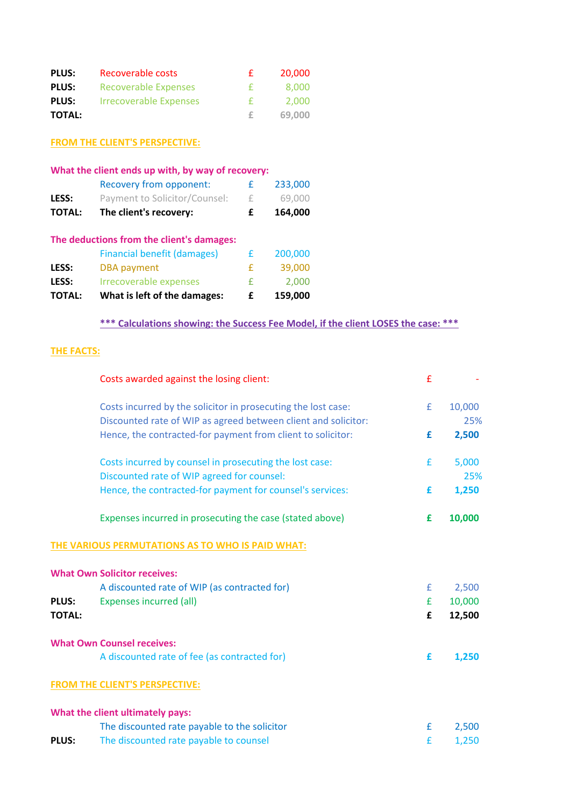| <b>PLUS:</b>  | Recoverable costs             | £.  | 20,000 |
|---------------|-------------------------------|-----|--------|
| <b>PLUS:</b>  | <b>Recoverable Expenses</b>   | - € | 8.000  |
| <b>PLUS:</b>  | <b>Irrecoverable Expenses</b> | Æ.  | 2.000  |
| <b>TOTAL:</b> |                               |     | 69,000 |

**FROM THE CLIENT'S PERSPECTIVE:**

| What the client ends up with, by way of recovery: |                                           |   |         |  |  |  |
|---------------------------------------------------|-------------------------------------------|---|---------|--|--|--|
|                                                   | Recovery from opponent:                   | £ | 233,000 |  |  |  |
| LESS:                                             | Payment to Solicitor/Counsel:             | £ | 69,000  |  |  |  |
| <b>TOTAL:</b>                                     | The client's recovery:                    | £ | 164,000 |  |  |  |
|                                                   | The deductions from the client's damages: |   |         |  |  |  |
|                                                   | <b>Financial benefit (damages)</b>        | £ | 200,000 |  |  |  |
| LESS:                                             | <b>DBA</b> payment                        | £ | 39,000  |  |  |  |
| LESS:                                             | <b>Irrecoverable expenses</b>             | £ | 2,000   |  |  |  |
| <b>TOTAL:</b>                                     | What is left of the damages:              | f | 159,000 |  |  |  |

## **\*\*\* Calculations showing: the Success Fee Model, if the client LOSES the case: \*\*\***

### **THE FACTS:**

|               | Costs awarded against the losing client:                       | £ |        |
|---------------|----------------------------------------------------------------|---|--------|
|               | Costs incurred by the solicitor in prosecuting the lost case:  | £ | 10,000 |
|               | Discounted rate of WIP as agreed between client and solicitor: |   | 25%    |
|               | Hence, the contracted-for payment from client to solicitor:    | £ | 2,500  |
|               | Costs incurred by counsel in prosecuting the lost case:        | £ | 5,000  |
|               | Discounted rate of WIP agreed for counsel:                     |   | 25%    |
|               | Hence, the contracted-for payment for counsel's services:      | £ | 1,250  |
|               | Expenses incurred in prosecuting the case (stated above)       | £ | 10,000 |
|               | THE VARIOUS PERMUTATIONS AS TO WHO IS PAID WHAT:               |   |        |
|               | <b>What Own Solicitor receives:</b>                            |   |        |
|               | A discounted rate of WIP (as contracted for)                   | £ | 2,500  |
| <b>PLUS:</b>  | <b>Expenses incurred (all)</b>                                 | £ | 10,000 |
| <b>TOTAL:</b> |                                                                | £ | 12,500 |
|               | <b>What Own Counsel receives:</b>                              |   |        |
|               | A discounted rate of fee (as contracted for)                   | £ | 1,250  |
|               | <b>FROM THE CLIENT'S PERSPECTIVE:</b>                          |   |        |
|               | What the client ultimately pays:                               |   |        |
|               | The discounted rate payable to the solicitor                   | £ | 2,500  |
| <b>PLUS:</b>  | The discounted rate payable to counsel                         | £ | 1,250  |